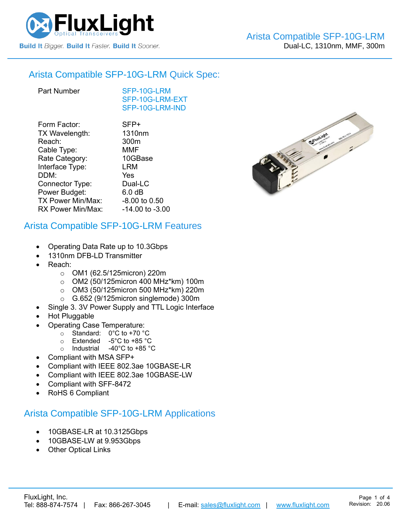

#### Arista Compatible [SFP-10G-LRM](https://www.fluxlight.com/sfp-10g-lrm-arista/) Quick Spec:

[SFP-10G-LRM](https://www.fluxlight.com/sfp-10g-lrm-arista/) [SFP-10G-LRM-](https://www.fluxlight.com/sfp-10g-lrm-arista/)EXT [SFP-10G-LRM-](https://www.fluxlight.com/sfp-10g-lrm-arista/)IND

| Form Factor:      | SFP+               |
|-------------------|--------------------|
| TX Wavelength:    | 1310 <sub>nm</sub> |
| Reach:            | 300m               |
| Cable Type:       | <b>MMF</b>         |
| Rate Category:    | 10GBase            |
| Interface Type:   | LRM                |
| DDM:              | Yes                |
| Connector Type:   | Dual-LC            |
| Power Budget:     | 6.0 <sub>dB</sub>  |
| TX Power Min/Max: | -8.00 to 0.50      |
| RX Power Min/Max: | -14.00 to -3.00    |
|                   |                    |

### Arista Compatible [SFP-10G-LRM](https://www.fluxlight.com/sfp-10g-lrm-arista/) Features

- Operating Data Rate up to 10.3Gbps
- 1310nm DFB-LD Transmitter
- Reach:
	- o OM1 (62.5/125micron) 220m
	- o OM2 (50/125micron 400 MHz\*km) 100m
	- o OM3 (50/125micron 500 MHz\*km) 220m
	- o G.652 (9/125micron singlemode) 300m
	- Single 3. 3V Power Supply and TTL Logic Interface
- Hot Pluggable
- Operating Case Temperature:
	- o Standard: 0°C to +70 °C
	- o Extended -5°C to +85 °C
	- o Industrial -40°C to +85 °C
- Compliant with MSA SFP+
- Compliant with IEEE 802.3ae 10GBASE-LR
- Compliant with IEEE 802.3ae 10GBASE-LW
- Compliant with SFF-8472
- RoHS 6 Compliant

### Arista Compatible [SFP-10G-LRM](https://www.fluxlight.com/sfp-10g-lrm-arista/) Applications

- 10GBASE-LR at 10.3125Gbps
- 10GBASE-LW at 9.953Gbps
- **Other Optical Links**

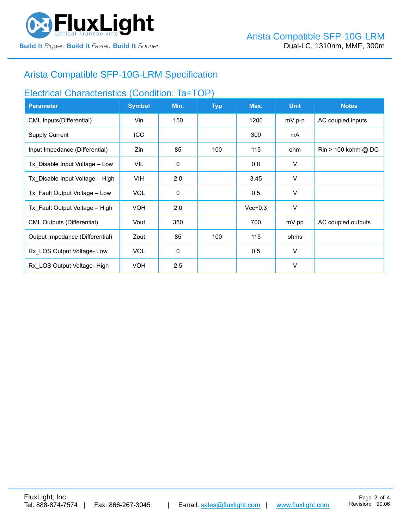

# Arista Compatible [SFP-10G-LRM](https://www.fluxlight.com/sfp-10g-lrm-arista/) Specification

## Electrical Characteristics (Condition: Ta=TOP)

| <b>Parameter</b>                  | <b>Symbol</b> | Min.        | <b>Typ</b> | Max.      | <b>Unit</b> | <b>Notes</b>                          |
|-----------------------------------|---------------|-------------|------------|-----------|-------------|---------------------------------------|
| CML Inputs(Differential)          | Vin           | 150         |            | 1200      | $mV$ p-p    | AC coupled inputs                     |
| <b>Supply Current</b>             | <b>ICC</b>    |             |            | 300       | mA          |                                       |
| Input Impedance (Differential)    | Zin           | 85          | 100        | 115       | ohm         | $\text{Rin} > 100 \text{ kohm } @$ DC |
| Tx Disable Input Voltage - Low    | VIL           | $\mathbf 0$ |            | 0.8       | $\vee$      |                                       |
| Tx Disable Input Voltage - High   | <b>VIH</b>    | 2.0         |            | 3.45      | V           |                                       |
| Tx Fault Output Voltage - Low     | <b>VOL</b>    | 0           |            | 0.5       | V           |                                       |
| Tx Fault Output Voltage - High    | <b>VOH</b>    | 2.0         |            | $Vcc+0.3$ | V           |                                       |
| <b>CML Outputs (Differential)</b> | Vout          | 350         |            | 700       | mV pp       | AC coupled outputs                    |
| Output Impedance (Differential)   | Zout          | 85          | 100        | 115       | ohms        |                                       |
| Rx LOS Output Voltage-Low         | <b>VOL</b>    | 0           |            | 0.5       | $\vee$      |                                       |
| Rx LOS Output Voltage-High        | <b>VOH</b>    | 2.5         |            |           | $\vee$      |                                       |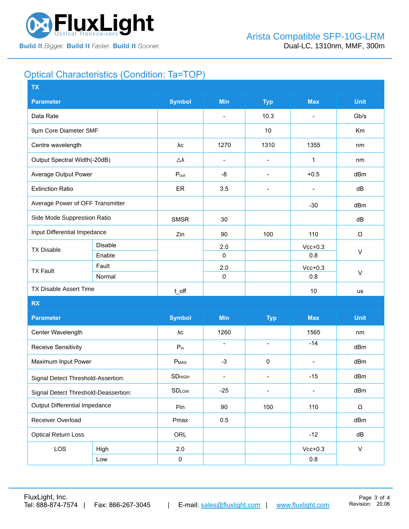

### Optical Characteristics (Condition: Ta=TOP)

| <b>Symbol</b><br><b>Min</b><br><b>Max</b><br><b>Unit</b><br><b>Parameter</b><br><b>Typ</b><br>Data Rate<br>10.3<br>Gb/s<br>$\overline{\phantom{a}}$<br>$\blacksquare$<br>9µm Core Diameter SMF<br>10<br>Km<br>1310<br>1355<br>1270<br>Centre wavelength<br>λc<br>nm<br>Output Spectral Width(-20dB)<br>$\triangle \lambda$<br>1<br>nm<br>$\overline{\phantom{a}}$<br>$\overline{\phantom{a}}$<br>Average Output Power<br>-8<br>$+0.5$<br>dBm<br>$P_{\text{out}}$<br>$\overline{\phantom{a}}$<br><b>Extinction Ratio</b><br>ER<br>3.5<br>dB<br>$\blacksquare$<br>$\overline{\phantom{a}}$<br>Average Power of OFF Transmitter<br>$-30$<br>dBm<br>Side Mode Suppression Ratio<br><b>SMSR</b><br>30<br>dB<br>Input Differential Impedance<br>Zin<br>90<br>100<br>110<br>Ω<br>Disable<br>2.0<br>$Vcc+0.3$<br><b>TX Disable</b><br>$\vee$<br>0.8<br>Enable<br>$\mathbf{0}$<br>Fault<br>2.0<br>$Vcc+0.3$<br><b>TX Fault</b><br>$\vee$<br>$\pmb{0}$<br>Normal<br>0.8<br>TX Disable Assert Time<br>$10$<br>t_off<br>us<br><b>RX</b><br><b>Symbol</b><br><b>Min</b><br><b>Max</b><br><b>Unit</b><br><b>Parameter</b><br><b>Typ</b><br>1260<br>1565<br>Center Wavelength<br>λс<br>nm<br>$-14$<br>$\blacksquare$<br>$\overline{\phantom{a}}$<br><b>Receive Sensitivity</b><br>$P_{in}$<br>dBm<br>Maximum Input Power<br>$-3$<br>dBm<br>$P_{MAX}$<br>$\pmb{0}$<br>$\blacksquare$<br><b>SD</b> HIGH<br>dBm<br>$-15$<br>$\overline{\phantom{a}}$<br>Signal Detect Threshold-Assertion:<br>$\overline{\phantom{a}}$<br><b>SDLOW</b><br>$-25$<br>dBm<br>$\overline{\phantom{a}}$<br>$\overline{\phantom{0}}$<br>Signal Detect Threshold-Deassertion:<br>Output Differential Impedance<br>90<br>100<br>110<br>Pin<br>Ω<br>Receiver Overload<br>Pmax<br>0.5<br>dBm<br><b>Optical Return Loss</b><br>ORL<br>$-12$<br>dB<br>LOS<br>$\mathsf{V}$<br>2.0<br>$Vcc+0.3$<br>High<br>$\pmb{0}$<br>0.8<br>Low | <b>TX</b> |  |  |  |  |  |  |  |
|------------------------------------------------------------------------------------------------------------------------------------------------------------------------------------------------------------------------------------------------------------------------------------------------------------------------------------------------------------------------------------------------------------------------------------------------------------------------------------------------------------------------------------------------------------------------------------------------------------------------------------------------------------------------------------------------------------------------------------------------------------------------------------------------------------------------------------------------------------------------------------------------------------------------------------------------------------------------------------------------------------------------------------------------------------------------------------------------------------------------------------------------------------------------------------------------------------------------------------------------------------------------------------------------------------------------------------------------------------------------------------------------------------------------------------------------------------------------------------------------------------------------------------------------------------------------------------------------------------------------------------------------------------------------------------------------------------------------------------------------------------------------------------------------------------------------------------------------------------------------------------|-----------|--|--|--|--|--|--|--|
|                                                                                                                                                                                                                                                                                                                                                                                                                                                                                                                                                                                                                                                                                                                                                                                                                                                                                                                                                                                                                                                                                                                                                                                                                                                                                                                                                                                                                                                                                                                                                                                                                                                                                                                                                                                                                                                                                    |           |  |  |  |  |  |  |  |
|                                                                                                                                                                                                                                                                                                                                                                                                                                                                                                                                                                                                                                                                                                                                                                                                                                                                                                                                                                                                                                                                                                                                                                                                                                                                                                                                                                                                                                                                                                                                                                                                                                                                                                                                                                                                                                                                                    |           |  |  |  |  |  |  |  |
|                                                                                                                                                                                                                                                                                                                                                                                                                                                                                                                                                                                                                                                                                                                                                                                                                                                                                                                                                                                                                                                                                                                                                                                                                                                                                                                                                                                                                                                                                                                                                                                                                                                                                                                                                                                                                                                                                    |           |  |  |  |  |  |  |  |
|                                                                                                                                                                                                                                                                                                                                                                                                                                                                                                                                                                                                                                                                                                                                                                                                                                                                                                                                                                                                                                                                                                                                                                                                                                                                                                                                                                                                                                                                                                                                                                                                                                                                                                                                                                                                                                                                                    |           |  |  |  |  |  |  |  |
|                                                                                                                                                                                                                                                                                                                                                                                                                                                                                                                                                                                                                                                                                                                                                                                                                                                                                                                                                                                                                                                                                                                                                                                                                                                                                                                                                                                                                                                                                                                                                                                                                                                                                                                                                                                                                                                                                    |           |  |  |  |  |  |  |  |
|                                                                                                                                                                                                                                                                                                                                                                                                                                                                                                                                                                                                                                                                                                                                                                                                                                                                                                                                                                                                                                                                                                                                                                                                                                                                                                                                                                                                                                                                                                                                                                                                                                                                                                                                                                                                                                                                                    |           |  |  |  |  |  |  |  |
|                                                                                                                                                                                                                                                                                                                                                                                                                                                                                                                                                                                                                                                                                                                                                                                                                                                                                                                                                                                                                                                                                                                                                                                                                                                                                                                                                                                                                                                                                                                                                                                                                                                                                                                                                                                                                                                                                    |           |  |  |  |  |  |  |  |
|                                                                                                                                                                                                                                                                                                                                                                                                                                                                                                                                                                                                                                                                                                                                                                                                                                                                                                                                                                                                                                                                                                                                                                                                                                                                                                                                                                                                                                                                                                                                                                                                                                                                                                                                                                                                                                                                                    |           |  |  |  |  |  |  |  |
|                                                                                                                                                                                                                                                                                                                                                                                                                                                                                                                                                                                                                                                                                                                                                                                                                                                                                                                                                                                                                                                                                                                                                                                                                                                                                                                                                                                                                                                                                                                                                                                                                                                                                                                                                                                                                                                                                    |           |  |  |  |  |  |  |  |
|                                                                                                                                                                                                                                                                                                                                                                                                                                                                                                                                                                                                                                                                                                                                                                                                                                                                                                                                                                                                                                                                                                                                                                                                                                                                                                                                                                                                                                                                                                                                                                                                                                                                                                                                                                                                                                                                                    |           |  |  |  |  |  |  |  |
|                                                                                                                                                                                                                                                                                                                                                                                                                                                                                                                                                                                                                                                                                                                                                                                                                                                                                                                                                                                                                                                                                                                                                                                                                                                                                                                                                                                                                                                                                                                                                                                                                                                                                                                                                                                                                                                                                    |           |  |  |  |  |  |  |  |
|                                                                                                                                                                                                                                                                                                                                                                                                                                                                                                                                                                                                                                                                                                                                                                                                                                                                                                                                                                                                                                                                                                                                                                                                                                                                                                                                                                                                                                                                                                                                                                                                                                                                                                                                                                                                                                                                                    |           |  |  |  |  |  |  |  |
|                                                                                                                                                                                                                                                                                                                                                                                                                                                                                                                                                                                                                                                                                                                                                                                                                                                                                                                                                                                                                                                                                                                                                                                                                                                                                                                                                                                                                                                                                                                                                                                                                                                                                                                                                                                                                                                                                    |           |  |  |  |  |  |  |  |
|                                                                                                                                                                                                                                                                                                                                                                                                                                                                                                                                                                                                                                                                                                                                                                                                                                                                                                                                                                                                                                                                                                                                                                                                                                                                                                                                                                                                                                                                                                                                                                                                                                                                                                                                                                                                                                                                                    |           |  |  |  |  |  |  |  |
|                                                                                                                                                                                                                                                                                                                                                                                                                                                                                                                                                                                                                                                                                                                                                                                                                                                                                                                                                                                                                                                                                                                                                                                                                                                                                                                                                                                                                                                                                                                                                                                                                                                                                                                                                                                                                                                                                    |           |  |  |  |  |  |  |  |
|                                                                                                                                                                                                                                                                                                                                                                                                                                                                                                                                                                                                                                                                                                                                                                                                                                                                                                                                                                                                                                                                                                                                                                                                                                                                                                                                                                                                                                                                                                                                                                                                                                                                                                                                                                                                                                                                                    |           |  |  |  |  |  |  |  |
|                                                                                                                                                                                                                                                                                                                                                                                                                                                                                                                                                                                                                                                                                                                                                                                                                                                                                                                                                                                                                                                                                                                                                                                                                                                                                                                                                                                                                                                                                                                                                                                                                                                                                                                                                                                                                                                                                    |           |  |  |  |  |  |  |  |
|                                                                                                                                                                                                                                                                                                                                                                                                                                                                                                                                                                                                                                                                                                                                                                                                                                                                                                                                                                                                                                                                                                                                                                                                                                                                                                                                                                                                                                                                                                                                                                                                                                                                                                                                                                                                                                                                                    |           |  |  |  |  |  |  |  |
|                                                                                                                                                                                                                                                                                                                                                                                                                                                                                                                                                                                                                                                                                                                                                                                                                                                                                                                                                                                                                                                                                                                                                                                                                                                                                                                                                                                                                                                                                                                                                                                                                                                                                                                                                                                                                                                                                    |           |  |  |  |  |  |  |  |
|                                                                                                                                                                                                                                                                                                                                                                                                                                                                                                                                                                                                                                                                                                                                                                                                                                                                                                                                                                                                                                                                                                                                                                                                                                                                                                                                                                                                                                                                                                                                                                                                                                                                                                                                                                                                                                                                                    |           |  |  |  |  |  |  |  |
|                                                                                                                                                                                                                                                                                                                                                                                                                                                                                                                                                                                                                                                                                                                                                                                                                                                                                                                                                                                                                                                                                                                                                                                                                                                                                                                                                                                                                                                                                                                                                                                                                                                                                                                                                                                                                                                                                    |           |  |  |  |  |  |  |  |
|                                                                                                                                                                                                                                                                                                                                                                                                                                                                                                                                                                                                                                                                                                                                                                                                                                                                                                                                                                                                                                                                                                                                                                                                                                                                                                                                                                                                                                                                                                                                                                                                                                                                                                                                                                                                                                                                                    |           |  |  |  |  |  |  |  |
|                                                                                                                                                                                                                                                                                                                                                                                                                                                                                                                                                                                                                                                                                                                                                                                                                                                                                                                                                                                                                                                                                                                                                                                                                                                                                                                                                                                                                                                                                                                                                                                                                                                                                                                                                                                                                                                                                    |           |  |  |  |  |  |  |  |
|                                                                                                                                                                                                                                                                                                                                                                                                                                                                                                                                                                                                                                                                                                                                                                                                                                                                                                                                                                                                                                                                                                                                                                                                                                                                                                                                                                                                                                                                                                                                                                                                                                                                                                                                                                                                                                                                                    |           |  |  |  |  |  |  |  |
|                                                                                                                                                                                                                                                                                                                                                                                                                                                                                                                                                                                                                                                                                                                                                                                                                                                                                                                                                                                                                                                                                                                                                                                                                                                                                                                                                                                                                                                                                                                                                                                                                                                                                                                                                                                                                                                                                    |           |  |  |  |  |  |  |  |
|                                                                                                                                                                                                                                                                                                                                                                                                                                                                                                                                                                                                                                                                                                                                                                                                                                                                                                                                                                                                                                                                                                                                                                                                                                                                                                                                                                                                                                                                                                                                                                                                                                                                                                                                                                                                                                                                                    |           |  |  |  |  |  |  |  |
|                                                                                                                                                                                                                                                                                                                                                                                                                                                                                                                                                                                                                                                                                                                                                                                                                                                                                                                                                                                                                                                                                                                                                                                                                                                                                                                                                                                                                                                                                                                                                                                                                                                                                                                                                                                                                                                                                    |           |  |  |  |  |  |  |  |